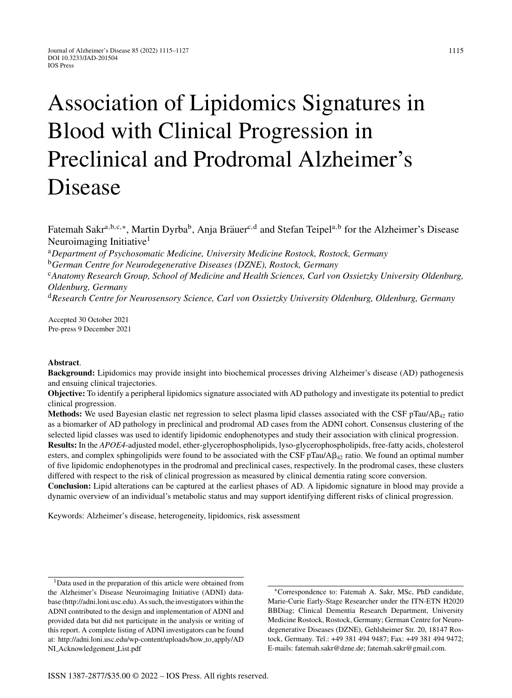# Association of Lipidomics Signatures in Blood with Clinical Progression in Preclinical and Prodromal Alzheimer's Disease

Fatemah Sakr<sup>a,b,c,∗</sup>, Martin Dyrba<sup>b</sup>, Anja Bräuer<sup>c,d</sup> and Stefan Teipel<sup>a,b</sup> for the Alzheimer's Disease Neuroimaging Initiative<sup>1</sup>

<sup>a</sup>*Department of Psychosomatic Medicine, University Medicine Rostock, Rostock, Germany*

<sup>b</sup>*German Centre for Neurodegenerative Diseases (DZNE), Rostock, Germany*

<sup>c</sup>*Anatomy Research Group, School of Medicine and Health Sciences, Carl von Ossietzky University Oldenburg, Oldenburg, Germany*

<sup>d</sup>*Research Centre for Neurosensory Science, Carl von Ossietzky University Oldenburg, Oldenburg, Germany*

Accepted 30 October 2021 Pre-press 9 December 2021

#### **Abstract**.

**Background:** Lipidomics may provide insight into biochemical processes driving Alzheimer's disease (AD) pathogenesis and ensuing clinical trajectories.

**Objective:** To identify a peripheral lipidomics signature associated with AD pathology and investigate its potential to predict clinical progression.

Methods: We used Bayesian elastic net regression to select plasma lipid classes associated with the CSF pTau/A $\beta_{42}$  ratio as a biomarker of AD pathology in preclinical and prodromal AD cases from the ADNI cohort. Consensus clustering of the selected lipid classes was used to identify lipidomic endophenotypes and study their association with clinical progression.

**Results:** In the *APOE4*-adjusted model, ether-glycerophospholipids, lyso-glycerophospholipids, free-fatty acids, cholesterol esters, and complex sphingolipids were found to be associated with the CSF pTau/ $\text{A}\beta_{42}$  ratio. We found an optimal number of five lipidomic endophenotypes in the prodromal and preclinical cases, respectively. In the prodromal cases, these clusters differed with respect to the risk of clinical progression as measured by clinical dementia rating score conversion.

**Conclusion:** Lipid alterations can be captured at the earliest phases of AD. A lipidomic signature in blood may provide a dynamic overview of an individual's metabolic status and may support identifying different risks of clinical progression.

Keywords: Alzheimer's disease, heterogeneity, lipidomics, risk assessment

1Data used in the preparation of this article were obtained from the Alzheimer's Disease Neuroimaging Initiative (ADNI) database (<http://adni.loni.usc.edu>). As such, the investigators within the ADNI contributed to the design and implementation of ADNI and provided data but did not participate in the analysis or writing of this report. A complete listing of ADNI investigators can be found at: [http://adni.loni.usc.edu/wp-content/uploads/how](http://adni.loni.usc.edu/wp-content/uploads/how_to_apply/ADNI_Acknowledgement_List.pdf) to apply/AD NI Acknowledgement List.pdf

∗Correspondence to: Fatemah A. Sakr, MSc, PhD candidate, Marie-Curie Early-Stage Researcher under the ITN-ETN H2020 BBDiag; Clinical Dementia Research Department, University Medicine Rostock, Rostock, Germany; German Centre for Neurodegenerative Diseases (DZNE), Gehlsheimer Str. 20, 18147 Rostock, Germany. Tel.: +49 381 494 9487; Fax: +49 381 494 9472; E-mails: fatemah.sakr@dzne.de; fatemah.sakr@gmail.com.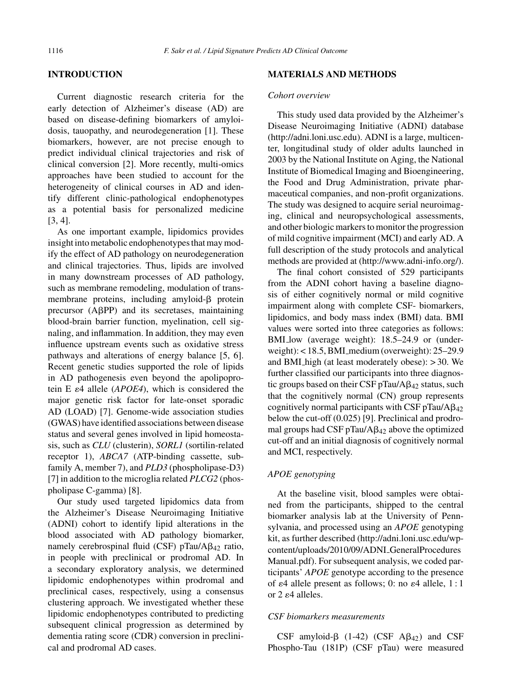## **INTRODUCTION**

Current diagnostic research criteria for the early detection of Alzheimer's disease (AD) are based on disease-defining biomarkers of amyloidosis, tauopathy, and neurodegeneration [1]. These biomarkers, however, are not precise enough to predict individual clinical trajectories and risk of clinical conversion [2]. More recently, multi-omics approaches have been studied to account for the heterogeneity of clinical courses in AD and identify different clinic-pathological endophenotypes as a potential basis for personalized medicine [3, 4].

As one important example, lipidomics provides insight into metabolic endophenotypes that may modify the effect of AD pathology on neurodegeneration and clinical trajectories. Thus, lipids are involved in many downstream processes of AD pathology, such as membrane remodeling, modulation of transmembrane proteins, including amyloid- $\beta$  protein precursor  $(A\beta PP)$  and its secretases, maintaining blood-brain barrier function, myelination, cell signaling, and inflammation. In addition, they may even influence upstream events such as oxidative stress pathways and alterations of energy balance [5, 6]. Recent genetic studies supported the role of lipids in AD pathogenesis even beyond the apolipoprotein E  $\varepsilon$ 4 allele (*APOE4*), which is considered the major genetic risk factor for late-onset sporadic AD (LOAD) [7]. Genome-wide association studies (GWAS) have identified associations between disease status and several genes involved in lipid homeostasis, such as *CLU* (clusterin), *SORL1* (sortilin-related receptor 1), *ABCA7* (ATP-binding cassette, subfamily A, member 7), and *PLD3* (phospholipase-D3) [7] in addition to the microglia related *PLCG2* (phospholipase C-gamma) [8].

Our study used targeted lipidomics data from the Alzheimer's Disease Neuroimaging Initiative (ADNI) cohort to identify lipid alterations in the blood associated with AD pathology biomarker, namely cerebrospinal fluid (CSF) pTau/A $\beta_{42}$  ratio, in people with preclinical or prodromal AD. In a secondary exploratory analysis, we determined lipidomic endophenotypes within prodromal and preclinical cases, respectively, using a consensus clustering approach. We investigated whether these lipidomic endophenotypes contributed to predicting subsequent clinical progression as determined by dementia rating score (CDR) conversion in preclinical and prodromal AD cases.

## **MATERIALS AND METHODS**

#### *Cohort overview*

This study used data provided by the Alzheimer's Disease Neuroimaging Initiative (ADNI) database [\(http://adni.loni.usc.edu\)](http://adni.loni.usc.edu). ADNI is a large, multicenter, longitudinal study of older adults launched in 2003 by the National Institute on Aging, the National Institute of Biomedical Imaging and Bioengineering, the Food and Drug Administration, private pharmaceutical companies, and non-profit organizations. The study was designed to acquire serial neuroimaging, clinical and neuropsychological assessments, and other biologic markers to monitor the progression of mild cognitive impairment (MCI) and early AD. A full description of the study protocols and analytical methods are provided at [\(http://www.adni-info.org/](http://www.adni-info.org/)).

The final cohort consisted of 529 participants from the ADNI cohort having a baseline diagnosis of either cognitively normal or mild cognitive impairment along with complete CSF- biomarkers, lipidomics, and body mass index (BMI) data. BMI values were sorted into three categories as follows: BMI low (average weight): 18.5–24.9 or (underweight): < 18.5, BMI medium (overweight): 25–29.9 and BMI high (at least moderately obese): > 30. We further classified our participants into three diagnostic groups based on their CSF pTau/A $\beta_{42}$  status, such that the cognitively normal (CN) group represents cognitively normal participants with CSF pTau/A $\beta_{42}$ below the cut-off (0.025) [9]. Preclinical and prodromal groups had CSF pTau/A $\beta_{42}$  above the optimized cut-off and an initial diagnosis of cognitively normal and MCI, respectively.

#### *APOE genotyping*

At the baseline visit, blood samples were obtained from the participants, shipped to the central biomarker analysis lab at the University of Pennsylvania, and processed using an *APOE* genotyping kit, as further described [\(http://adni.loni.usc.edu/wp](http://adni.loni.usc.edu/wp-content/uploads/2010/09/ADNI_GeneralProceduresManual.pdf)content/uploads/2010/09/ADNI GeneralProcedures Manual.pdf). For subsequent analysis, we coded participants' *APOE* genotype according to the presence of  $\varepsilon$ 4 allele present as follows; 0: no  $\varepsilon$ 4 allele, 1:1 or  $2 \epsilon 4$  alleles.

#### *CSF biomarkers measurements*

CSF amyloid- $\beta$  (1-42) (CSF A $\beta$ <sub>42</sub>) and CSF Phospho-Tau (181P) (CSF pTau) were measured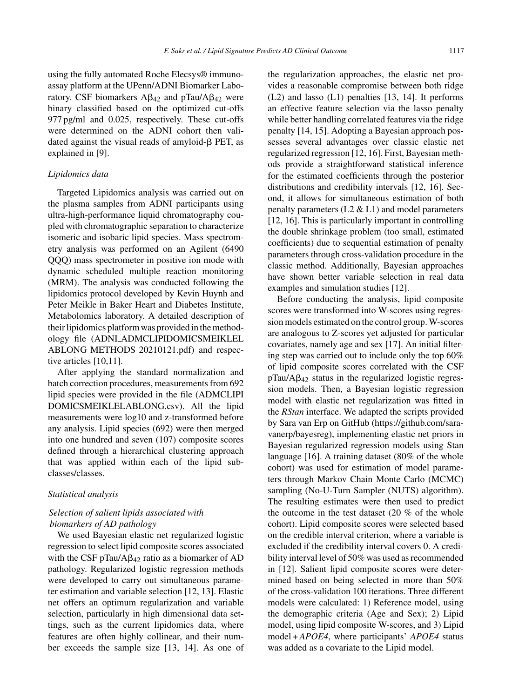using the fully automated Roche Elecsys® immunoassay platform at the UPenn/ADNI Biomarker Laboratory. CSF biomarkers  $A\beta_{42}$  and pTau/A $\beta_{42}$  were binary classified based on the optimized cut-offs 977 pg/ml and 0.025, respectively. These cut-offs were determined on the ADNI cohort then validated against the visual reads of amyloid- $\beta$  PET, as explained in [9].

## *Lipidomics data*

Targeted Lipidomics analysis was carried out on the plasma samples from ADNI participants using ultra-high-performance liquid chromatography coupled with chromatographic separation to characterize isomeric and isobaric lipid species. Mass spectrometry analysis was performed on an Agilent (6490 QQQ) mass spectrometer in positive ion mode with dynamic scheduled multiple reaction monitoring (MRM). The analysis was conducted following the lipidomics protocol developed by Kevin Huynh and Peter Meikle in Baker Heart and Diabetes Institute, Metabolomics laboratory. A detailed description of their lipidomics platform was provided in the methodology file (ADNI ADMCLIPIDOMICSMEIKLEL ABLONG METHODS 20210121.pdf) and respective articles [10,11].

After applying the standard normalization and batch correction procedures, measurements from 692 lipid species were provided in the file (ADMCLIPI DOMICSMEIKLELABLONG.csv). All the lipid measurements were log10 and z-transformed before any analysis. Lipid species (692) were then merged into one hundred and seven (107) composite scores defined through a hierarchical clustering approach that was applied within each of the lipid subclasses/classes.

#### *Statistical analysis*

# *Selection of salient lipids associated with biomarkers of AD pathology*

We used Bayesian elastic net regularized logistic regression to select lipid composite scores associated with the CSF pTau/A $\beta_{42}$  ratio as a biomarker of AD pathology. Regularized logistic regression methods were developed to carry out simultaneous parameter estimation and variable selection [12, 13]. Elastic net offers an optimum regularization and variable selection, particularly in high dimensional data settings, such as the current lipidomics data, where features are often highly collinear, and their number exceeds the sample size [13, 14]. As one of the regularization approaches, the elastic net provides a reasonable compromise between both ridge (L2) and lasso (L1) penalties [13, 14]. It performs an effective feature selection via the lasso penalty while better handling correlated features via the ridge penalty [14, 15]. Adopting a Bayesian approach possesses several advantages over classic elastic net regularized regression [12, 16]. First, Bayesian methods provide a straightforward statistical inference for the estimated coefficients through the posterior distributions and credibility intervals [12, 16]. Second, it allows for simultaneous estimation of both penalty parameters  $(L2 \& L1)$  and model parameters [12, 16]. This is particularly important in controlling the double shrinkage problem (too small, estimated coefficients) due to sequential estimation of penalty parameters through cross-validation procedure in the classic method. Additionally, Bayesian approaches have shown better variable selection in real data examples and simulation studies [12].

Before conducting the analysis, lipid composite scores were transformed into W-scores using regression models estimated on the control group. W-scores are analogous to Z-scores yet adjusted for particular covariates, namely age and sex [17]. An initial filtering step was carried out to include only the top 60% of lipid composite scores correlated with the CSF  $pTau/Ag_{42}$  status in the regularized logistic regression models. Then, a Bayesian logistic regression model with elastic net regularization was fitted in the *RStan* interface. We adapted the scripts provided by Sara van Erp on GitHub ([https://github.com/sara](https://github.com/sara-vanerp/bayesreg)vanerp/bayesreg), implementing elastic net priors in Bayesian regularized regression models using Stan language [16]. A training dataset (80% of the whole cohort) was used for estimation of model parameters through Markov Chain Monte Carlo (MCMC) sampling (No-U-Turn Sampler (NUTS) algorithm). The resulting estimates were then used to predict the outcome in the test dataset (20 % of the whole cohort). Lipid composite scores were selected based on the credible interval criterion, where a variable is excluded if the credibility interval covers 0. A credibility interval level of 50% was used as recommended in [12]. Salient lipid composite scores were determined based on being selected in more than 50% of the cross-validation 100 iterations. Three different models were calculated: 1) Reference model, using the demographic criteria (Age and Sex); 2) Lipid model, using lipid composite W-scores, and 3) Lipid model + *APOE4*, where participants' *APOE4* status was added as a covariate to the Lipid model.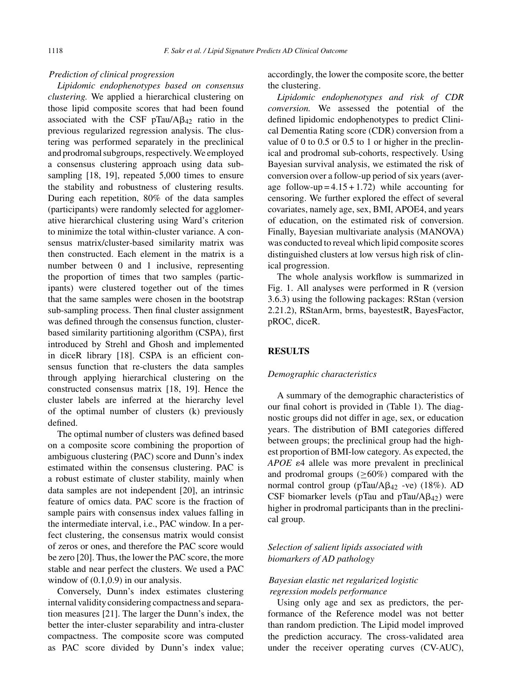## *Prediction of clinical progression*

*Lipidomic endophenotypes based on consensus clustering.* We applied a hierarchical clustering on those lipid composite scores that had been found associated with the CSF pTau/A $\beta_{42}$  ratio in the previous regularized regression analysis. The clustering was performed separately in the preclinical and prodromal subgroups, respectively. We employed a consensus clustering approach using data subsampling [18, 19], repeated 5,000 times to ensure the stability and robustness of clustering results. During each repetition, 80% of the data samples (participants) were randomly selected for agglomerative hierarchical clustering using Ward's criterion to minimize the total within-cluster variance. A consensus matrix/cluster-based similarity matrix was then constructed. Each element in the matrix is a number between 0 and 1 inclusive, representing the proportion of times that two samples (participants) were clustered together out of the times that the same samples were chosen in the bootstrap sub-sampling process. Then final cluster assignment was defined through the consensus function, clusterbased similarity partitioning algorithm (CSPA), first introduced by Strehl and Ghosh and implemented in diceR library [18]. CSPA is an efficient consensus function that re-clusters the data samples through applying hierarchical clustering on the constructed consensus matrix [18, 19]. Hence the cluster labels are inferred at the hierarchy level of the optimal number of clusters (k) previously defined.

The optimal number of clusters was defined based on a composite score combining the proportion of ambiguous clustering (PAC) score and Dunn's index estimated within the consensus clustering. PAC is a robust estimate of cluster stability, mainly when data samples are not independent [20], an intrinsic feature of omics data. PAC score is the fraction of sample pairs with consensus index values falling in the intermediate interval, i.e., PAC window. In a perfect clustering, the consensus matrix would consist of zeros or ones, and therefore the PAC score would be zero [20]. Thus, the lower the PAC score, the more stable and near perfect the clusters. We used a PAC window of  $(0.1, 0.9)$  in our analysis.

Conversely, Dunn's index estimates clustering internal validity considering compactness and separation measures [21]. The larger the Dunn's index, the better the inter-cluster separability and intra-cluster compactness. The composite score was computed as PAC score divided by Dunn's index value; accordingly, the lower the composite score, the better the clustering.

*Lipidomic endophenotypes and risk of CDR conversion.* We assessed the potential of the defined lipidomic endophenotypes to predict Clinical Dementia Rating score (CDR) conversion from a value of 0 to 0.5 or 0.5 to 1 or higher in the preclinical and prodromal sub-cohorts, respectively. Using Bayesian survival analysis, we estimated the risk of conversion over a follow-up period of six years (average follow-up =  $4.15 + 1.72$ ) while accounting for censoring. We further explored the effect of several covariates, namely age, sex, BMI, APOE4, and years of education, on the estimated risk of conversion. Finally, Bayesian multivariate analysis (MANOVA) was conducted to reveal which lipid composite scores distinguished clusters at low versus high risk of clinical progression.

The whole analysis workflow is summarized in Fig. 1. All analyses were performed in R (version 3.6.3) using the following packages: RStan (version 2.21.2), RStanArm, brms, bayestestR, BayesFactor, pROC, diceR.

# **RESULTS**

#### *Demographic characteristics*

A summary of the demographic characteristics of our final cohort is provided in (Table 1). The diagnostic groups did not differ in age, sex, or education years. The distribution of BMI categories differed between groups; the preclinical group had the highest proportion of BMI-low category. As expected, the *APOE*  $\varepsilon$ 4 allele was more prevalent in preclinical and prodromal groups  $(\geq 60\%)$  compared with the normal control group (pTau/A $\beta_{42}$  -ve) (18%). AD CSF biomarker levels (pTau and pTau/A $\beta$ <sub>42</sub>) were higher in prodromal participants than in the preclinical group.

# *Selection of salient lipids associated with biomarkers of AD pathology*

# *Bayesian elastic net regularized logistic regression models performance*

Using only age and sex as predictors, the performance of the Reference model was not better than random prediction. The Lipid model improved the prediction accuracy. The cross-validated area under the receiver operating curves (CV-AUC),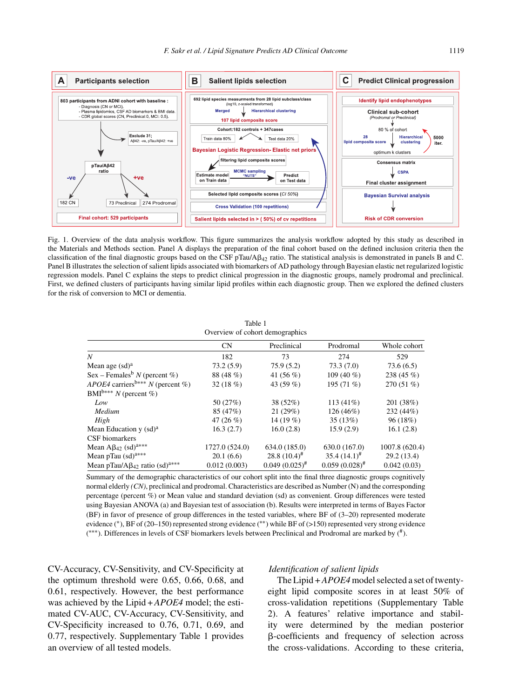

Fig. 1. Overview of the data analysis workflow. This figure summarizes the analysis workflow adopted by this study as described in the Materials and Methods section. Panel A displays the preparation of the final cohort based on the defined inclusion criteria then the classification of the final diagnostic groups based on the CSF  $pTau/AB_{42}$  ratio. The statistical analysis is demonstrated in panels B and C. Panel B illustrates the selection of salient lipids associated with biomarkers of AD pathology through Bayesian elastic net regularized logistic regression models. Panel C explains the steps to predict clinical progression in the diagnostic groups, namely prodromal and preclinical. First, we defined clusters of participants having similar lipid profiles within each diagnostic group. Then we explored the defined clusters for the risk of conversion to MCI or dementia.

| Overview of cohort demographics                           |                |                    |                    |                |  |  |  |  |  |
|-----------------------------------------------------------|----------------|--------------------|--------------------|----------------|--|--|--|--|--|
|                                                           | <b>CN</b>      | Preclinical        | Prodromal          | Whole cohort   |  |  |  |  |  |
| Ν                                                         | 182            | 73                 | 274                | 529            |  |  |  |  |  |
| Mean age (sd) <sup>a</sup>                                | 73.2(5.9)      | 75.9(5.2)          | 73.3(7.0)          | 73.6(6.5)      |  |  |  |  |  |
| Sex – Females <sup>b</sup> N (percent %)                  | 88 (48 %)      | 41 $(56\%)$        | 109 (40 %)         | 238 (45 %)     |  |  |  |  |  |
| APOE4 carriers <sup>b***</sup> N (percent %)              | 32 $(18\%)$    | 43 (59 %)          | 195 $(71\%)$       | 270(51%)       |  |  |  |  |  |
| $\text{BMI}^{\text{b***}}$ N (percent %)                  |                |                    |                    |                |  |  |  |  |  |
| Low                                                       | 50 $(27%)$     | 38 (52%)           | 113 (41%)          | 201 (38%)      |  |  |  |  |  |
| Medium                                                    | 85 (47%)       | 21(29%)            | 126 (46%)          | 232 (44%)      |  |  |  |  |  |
| High                                                      | 47 $(26\%)$    | 14 $(19\%)$        | 35(13%)            | 96 (18%)       |  |  |  |  |  |
| Mean Education y (sd) <sup>a</sup>                        | 16.3(2.7)      | 16.0(2.8)          | 15.9(2.9)          | 16.1(2.8)      |  |  |  |  |  |
| CSF biomarkers                                            |                |                    |                    |                |  |  |  |  |  |
| Mean $\mathbf{A}\mathbf{\beta}_{42}$ (sd) <sup>a***</sup> | 1727.0 (524.0) | 634.0 (185.0)      | 630.0 (167.0)      | 1007.8 (620.4) |  |  |  |  |  |
| Mean pTau (sd) <sup>a***</sup>                            | 20.1(6.6)      | $28.8(10.4)^{\#}$  | $35.4(14.1)^{\#}$  | 29.2(13.4)     |  |  |  |  |  |
| Mean pTau/A $\beta_{42}$ ratio (sd) <sup>a***</sup>       | 0.012(0.003)   | $0.049(0.025)^{*}$ | $0.059(0.028)^{*}$ | 0.042(0.03)    |  |  |  |  |  |
|                                                           |                |                    |                    |                |  |  |  |  |  |

Table 1

Summary of the demographic characteristics of our cohort split into the final three diagnostic groups cognitively normal elderly *(CN)*, preclinical and prodromal. Characteristics are described as Number (N) and the corresponding percentage (percent %) or Mean value and standard deviation (sd) as convenient. Group differences were tested using Bayesian ANOVA (a) and Bayesian test of association (b). Results were interpreted in terms of Bayes Factor (BF) in favor of presence of group differences in the tested variables, where BF of (3–20) represented moderate evidence (∗), BF of (20–150) represented strong evidence (∗∗) while BF of (>150) represented very strong evidence ( ∗∗∗). Differences in levels of CSF biomarkers levels between Preclinical and Prodromal are marked by (#).

CV-Accuracy, CV-Sensitivity, and CV-Specificity at the optimum threshold were 0.65, 0.66, 0.68, and 0.61, respectively. However, the best performance was achieved by the Lipid + *APOE4* model; the estimated CV-AUC, CV-Accuracy, CV-Sensitivity, and CV-Specificity increased to 0.76, 0.71, 0.69, and 0.77, respectively. Supplementary Table 1 provides an overview of all tested models.

#### *Identification of salient lipids*

The Lipid + *APOE4*model selected a set of twentyeight lipid composite scores in at least 50% of cross-validation repetitions (Supplementary Table 2). A features' relative importance and stability were determined by the median posterior β-coefficients and frequency of selection across the cross-validations. According to these criteria,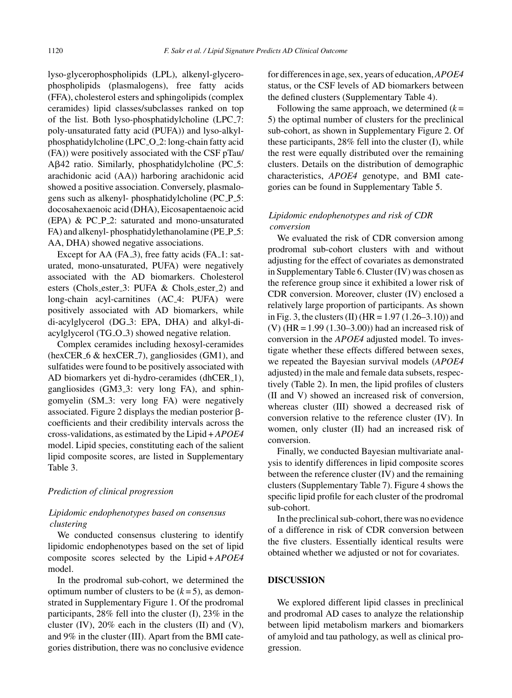lyso-glycerophospholipids (LPL), alkenyl-glycerophospholipids (plasmalogens), free fatty acids (FFA), cholesterol esters and sphingolipids (complex ceramides) lipid classes/subclasses ranked on top of the list. Both lyso-phosphatidylcholine (LPC 7: poly-unsaturated fatty acid (PUFA)) and lyso-alkylphosphatidylcholine (LPC<sub>-O-2</sub>: long-chain fatty acid (FA)) were positively associated with the CSF pTau/ Aβ42 ratio. Similarly, phosphatidylcholine (PC\_5: arachidonic acid (AA)) harboring arachidonic acid showed a positive association. Conversely, plasmalogens such as alkenyl- phosphatidylcholine (PC\_P\_5: docosahexaenoic acid (DHA), Eicosapentaenoic acid (EPA)  $& PC.P.2$ : saturated and mono-unsaturated FA) and alkenyl-phosphatidylethanolamine (PE\_P\_5: AA, DHA) showed negative associations.

Except for AA (FA\_3), free fatty acids (FA\_1: saturated, mono-unsaturated, PUFA) were negatively associated with the AD biomarkers. Cholesterol esters (Chols ester 3: PUFA & Chols ester 2) and long-chain acyl-carnitines (AC 4: PUFA) were positively associated with AD biomarkers, while di-acylglycerol (DG 3: EPA, DHA) and alkyl-diacylglycerol (TG<sub>-O-3</sub>) showed negative relation.

Complex ceramides including hexosyl-ceramides (hexCER\_6  $\&$  hexCER\_7), gangliosides (GM1), and sulfatides were found to be positively associated with AD biomarkers yet di-hydro-ceramides (dhCER\_1), gangliosides (GM3 3: very long FA), and sphingomyelin (SM 3: very long FA) were negatively associated. Figure 2 displays the median posterior  $\beta$ coefficients and their credibility intervals across the cross-validations, as estimated by the Lipid + *APOE4* model. Lipid species, constituting each of the salient lipid composite scores, are listed in Supplementary Table 3.

## *Prediction of clinical progression*

# *Lipidomic endophenotypes based on consensus clustering*

We conducted consensus clustering to identify lipidomic endophenotypes based on the set of lipid composite scores selected by the Lipid + *APOE4* model.

In the prodromal sub-cohort, we determined the optimum number of clusters to be  $(k=5)$ , as demonstrated in Supplementary Figure 1. Of the prodromal participants, 28% fell into the cluster (I), 23% in the cluster (IV),  $20\%$  each in the clusters (II) and (V), and 9% in the cluster (III). Apart from the BMI categories distribution, there was no conclusive evidence

for differences in age, sex, years of education,*APOE4* status, or the CSF levels of AD biomarkers between the defined clusters (Supplementary Table 4).

Following the same approach, we determined  $(k =$ 5) the optimal number of clusters for the preclinical sub-cohort, as shown in Supplementary Figure 2. Of these participants, 28% fell into the cluster (I), while the rest were equally distributed over the remaining clusters. Details on the distribution of demographic characteristics, *APOE4* genotype, and BMI categories can be found in Supplementary Table 5.

# *Lipidomic endophenotypes and risk of CDR conversion*

We evaluated the risk of CDR conversion among prodromal sub-cohort clusters with and without adjusting for the effect of covariates as demonstrated in Supplementary Table 6. Cluster (IV) was chosen as the reference group since it exhibited a lower risk of CDR conversion. Moreover, cluster (IV) enclosed a relatively large proportion of participants. As shown in Fig. 3, the clusters (II) (HR =  $1.97$  (1.26–3.10)) and (V) (HR = 1.99 (1.30–3.00)) had an increased risk of conversion in the *APOE4* adjusted model. To investigate whether these effects differed between sexes, we repeated the Bayesian survival models (*APOE4* adjusted) in the male and female data subsets, respectively (Table 2). In men, the lipid profiles of clusters (II and V) showed an increased risk of conversion, whereas cluster (III) showed a decreased risk of conversion relative to the reference cluster (IV). In women, only cluster (II) had an increased risk of conversion.

Finally, we conducted Bayesian multivariate analysis to identify differences in lipid composite scores between the reference cluster (IV) and the remaining clusters (Supplementary Table 7). Figure 4 shows the specific lipid profile for each cluster of the prodromal sub-cohort.

In the preclinical sub-cohort, there was no evidence of a difference in risk of CDR conversion between the five clusters. Essentially identical results were obtained whether we adjusted or not for covariates.

## **DISCUSSION**

We explored different lipid classes in preclinical and prodromal AD cases to analyze the relationship between lipid metabolism markers and biomarkers of amyloid and tau pathology, as well as clinical progression.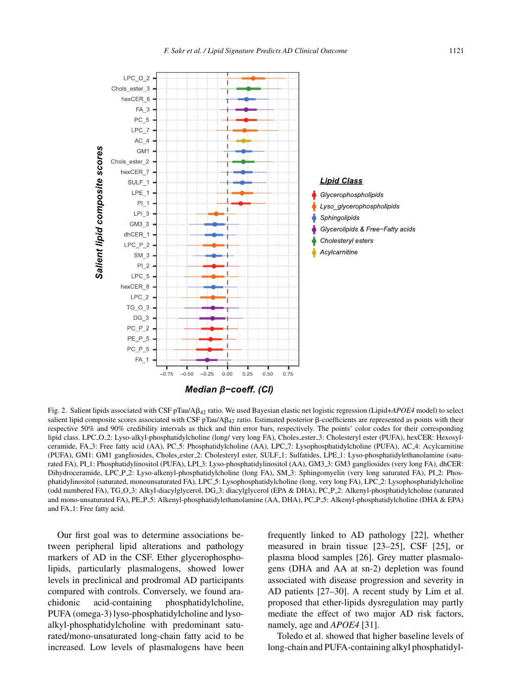

Fig. 2. Salient lipids associated with CSF pTau/Aβ<sub>42</sub> ratio. We used Bayesian elastic net logistic regression (Lipid+*APOE4* model) to select salient lipid composite scores associated with CSF pTau/ $A\beta_{42}$  ratio. Estimated posterior  $\beta$ -coefficients are represented as points with their respective 50% and 90% credibility intervals as thick and thin error bars, respectively. The points' color codes for their corresponding lipid class. LPC<sub>-O-2</sub>: Lyso-alkyl-phosphatidylcholine (long/ very long FA), Choles ester 3: Cholesteryl ester (PUFA), hexCER: Hexosylceramide, FA 3: Free fatty acid (AA), PC 5: Phosphatidylcholine (AA), LPC 7: Lysophosphatidylcholine (PUFA), AC 4: Acylcarnitine (PUFA), GM1: GM1 gangliosides, Choles ester 2: Cholesteryl ester, SULF 1: Sulfatides, LPE 1: Lyso-phosphatidylethanolamine (saturated FA), PI<sub>-1</sub>: Phosphatidylinositol (PUFA), LPI<sub>-3</sub>: Lyso-phosphatidylinositol (AA), GM3<sub>-3</sub>: GM3 gangliosides (very long FA), dhCER: Dihydroceramide, LPC\_P\_2: Lyso-alkenyl-phosphatidylcholine (long FA), SM\_3: Sphingomyelin (very long saturated FA), PI\_2: Phosphatidylinositol (saturated, monounsaturated FA), LPC 5: Lysophosphatidylcholine (long, very long FA), LPC 2: Lysophosphatidylcholine (odd numbered FA), TG<sub>-</sub>O<sub>-3</sub>: Alkyl-diacylglycerol, DG<sub>-3</sub>: diacylglycerol (EPA & DHA), PC<sub>-</sub>P<sub>-2</sub>: Alkenyl-phosphatidylcholine (saturated and mono-unsaturated FA), PE.P.5: Alkenyl-phosphatidylethanolamine (AA, DHA), PC.P.5: Alkenyl-phosphatidylcholine (DHA & EPA) and FA<sub>-1</sub>: Free fatty acid.

Our first goal was to determine associations between peripheral lipid alterations and pathology markers of AD in the CSF. Ether glycerophospholipids, particularly plasmalogens, showed lower levels in preclinical and prodromal AD participants compared with controls. Conversely, we found arachidonic acid-containing phosphatidylcholine, PUFA (omega-3) lyso-phosphatidylcholine and lysoalkyl-phosphatidylcholine with predominant saturated/mono-unsaturated long-chain fatty acid to be increased. Low levels of plasmalogens have been frequently linked to AD pathology [22], whether measured in brain tissue [23–25], CSF [25], or plasma blood samples [26]. Grey matter plasmalogens (DHA and AA at sn-2) depletion was found associated with disease progression and severity in AD patients [27–30]. A recent study by Lim et al. proposed that ether-lipids dysregulation may partly mediate the effect of two major AD risk factors, namely, age and *APOE4* [31].

Toledo et al. showed that higher baseline levels of long-chain and PUFA-containing alkyl phosphatidyl-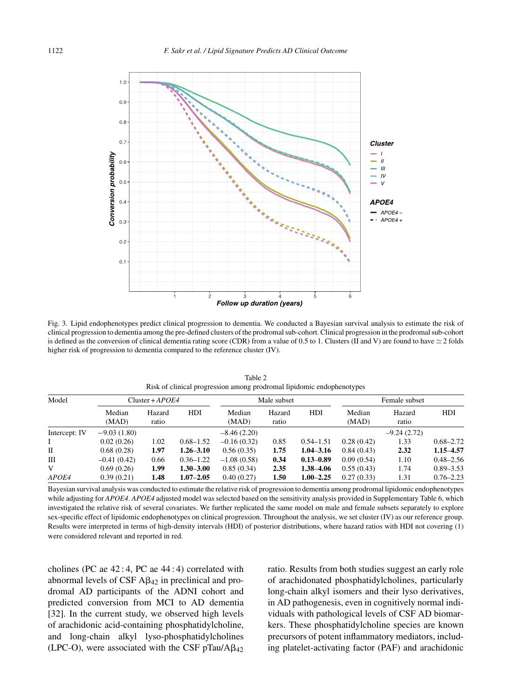

Fig. 3. Lipid endophenotypes predict clinical progression to dementia. We conducted a Bayesian survival analysis to estimate the risk of clinical progression to dementia among the pre-defined clusters of the prodromal sub-cohort. Clinical progression in the prodromal sub-cohort is defined as the conversion of clinical dementia rating score (CDR) from a value of 0.5 to 1. Clusters (II and V) are found to have  $\simeq$  2 folds higher risk of progression to dementia compared to the reference cluster (IV).

| Model         | $Cluster + APOE4$ |                 |               | Male subset     |                 |               | Female subset   |                 |               |
|---------------|-------------------|-----------------|---------------|-----------------|-----------------|---------------|-----------------|-----------------|---------------|
|               | Median<br>(MAD)   | Hazard<br>ratio | <b>HDI</b>    | Median<br>(MAD) | Hazard<br>ratio | HDI           | Median<br>(MAD) | Hazard<br>ratio | HDI           |
| Intercept: IV | $-9.03(1.80)$     |                 |               | $-8.46(2.20)$   |                 |               |                 | $-9.24(2.72)$   |               |
|               | 0.02(0.26)        | 1.02            | $0.68 - 1.52$ | $-0.16(0.32)$   | 0.85            | $0.54 - 1.51$ | 0.28(0.42)      | 1.33            | $0.68 - 2.72$ |
| П             | 0.68(0.28)        | 1.97            | $1.26 - 3.10$ | 0.56(0.35)      | 1.75            | $1.04 - 3.16$ | 0.84(0.43)      | 2.32            | 1.15-4.57     |
| Ш             | $-0.41(0.42)$     | 0.66            | $0.36 - 1.22$ | $-1.08(0.58)$   | 0.34            | $0.13 - 0.89$ | 0.09(0.54)      | 1.10            | $0.48 - 2.56$ |
| V             | 0.69(0.26)        | 1.99            | $1.30 - 3.00$ | 0.85(0.34)      | 2.35            | 1.38–4.06     | 0.55(0.43)      | 1.74            | $0.89 - 3.53$ |
| APOE4         | 0.39(0.21)        | 1.48            | $1.07 - 2.05$ | 0.40(0.27)      | 1.50            | $1.00 - 2.25$ | 0.27(0.33)      | 1.31            | $0.76 - 2.23$ |

Table 2 Risk of clinical progression among prodromal lipidomic endophenotypes

Bayesian survival analysis was conducted to estimate the relative risk of progression to dementia among prodromal lipidomic endophenotypes while adjusting for *APOE4*. *APOE4* adjusted model was selected based on the sensitivity analysis provided in Supplementary Table 6, which investigated the relative risk of several covariates. We further replicated the same model on male and female subsets separately to explore sex-specific effect of lipidomic endophenotypes on clinical progression. Throughout the analysis, we set cluster (IV) as our reference group. Results were interpreted in terms of high-density intervals (HDI) of posterior distributions, where hazard ratios with HDI not covering (1) were considered relevant and reported in red.

cholines (PC ae  $42:4$ , PC ae  $44:4$ ) correlated with abnormal levels of CSF  $A\beta_{42}$  in preclinical and prodromal AD participants of the ADNI cohort and predicted conversion from MCI to AD dementia [32]. In the current study, we observed high levels of arachidonic acid-containing phosphatidylcholine, and long-chain alkyl lyso-phosphatidylcholines (LPC-O), were associated with the CSF pTau/A $\beta_{42}$ 

ratio. Results from both studies suggest an early role of arachidonated phosphatidylcholines, particularly long-chain alkyl isomers and their lyso derivatives, in AD pathogenesis, even in cognitively normal individuals with pathological levels of CSF AD biomarkers. These phosphatidylcholine species are known precursors of potent inflammatory mediators, including platelet-activating factor (PAF) and arachidonic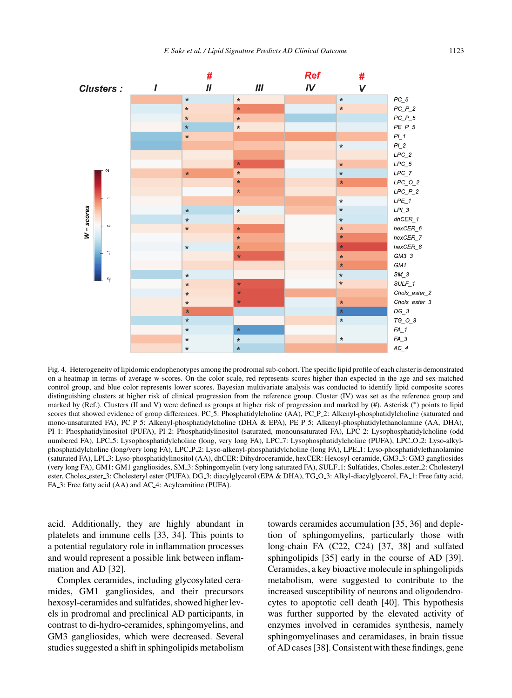

Fig. 4. Heterogeneity of lipidomic endophenotypes among the prodromal sub-cohort. The specific lipid profile of each cluster is demonstrated on a heatmap in terms of average w-scores. On the color scale, red represents scores higher than expected in the age and sex-matched control group, and blue color represents lower scores. Bayesian multivariate analysis was conducted to identify lipid composite scores distinguishing clusters at higher risk of clinical progression from the reference group. Cluster (IV) was set as the reference group and marked by (Ref.). Clusters (II and V) were defined as groups at higher risk of progression and marked by (#). Asterisk (∗) points to lipid scores that showed evidence of group differences. PC.5: Phosphatidylcholine (AA), PC.P.2: Alkenyl-phosphatidylcholine (saturated and mono-unsaturated FA), PC P.5: Alkenyl-phosphatidylcholine (DHA & EPA), PE P.5: Alkenyl-phosphatidylethanolamine (AA, DHA), PI<sub>-1</sub>: Phosphatidylinositol (PUFA), PI<sub>-2</sub>: Phosphatidylinositol (saturated, monounsaturated FA), LPC<sub>-2</sub>: Lysophosphatidylcholine (odd numbered FA), LPC 5: Lysophosphatidylcholine (long, very long FA), LPC 7: Lysophosphatidylcholine (PUFA), LPC O 2: Lyso-alkylphosphatidylcholine (long/very long FA), LPC\_P\_2: Lyso-alkenyl-phosphatidylcholine (long FA), LPE\_1: Lyso-phosphatidylethanolamine (saturated FA), LPI 3: Lyso-phosphatidylinositol (AA), dhCER: Dihydroceramide, hexCER: Hexosyl-ceramide, GM3 3: GM3 gangliosides (very long FA), GM1: GM1 gangliosides, SM 3: Sphingomyelin (very long saturated FA), SULF 1: Sulfatides, Choles ester 2: Cholesteryl ester, Choles ester 3: Cholesteryl ester (PUFA), DG 3: diacylglycerol (EPA & DHA), TG O 3: Alkyl-diacylglycerol, FA 1: Free fatty acid, FA 3: Free fatty acid (AA) and AC 4: Acylcarnitine (PUFA).

acid. Additionally, they are highly abundant in platelets and immune cells [33, 34]. This points to a potential regulatory role in inflammation processes and would represent a possible link between inflammation and AD [32].

Complex ceramides, including glycosylated ceramides, GM1 gangliosides, and their precursors hexosyl-ceramides and sulfatides, showed higher levels in prodromal and preclinical AD participants, in contrast to di-hydro-ceramides, sphingomyelins, and GM3 gangliosides, which were decreased. Several studies suggested a shift in sphingolipids metabolism

towards ceramides accumulation [35, 36] and depletion of sphingomyelins, particularly those with long-chain FA (C22, C24) [37, 38] and sulfated sphingolipids [35] early in the course of AD [39]. Ceramides, a key bioactive molecule in sphingolipids metabolism, were suggested to contribute to the increased susceptibility of neurons and oligodendrocytes to apoptotic cell death [40]. This hypothesis was further supported by the elevated activity of enzymes involved in ceramides synthesis, namely sphingomyelinases and ceramidases, in brain tissue of AD cases [38]. Consistent with these findings, gene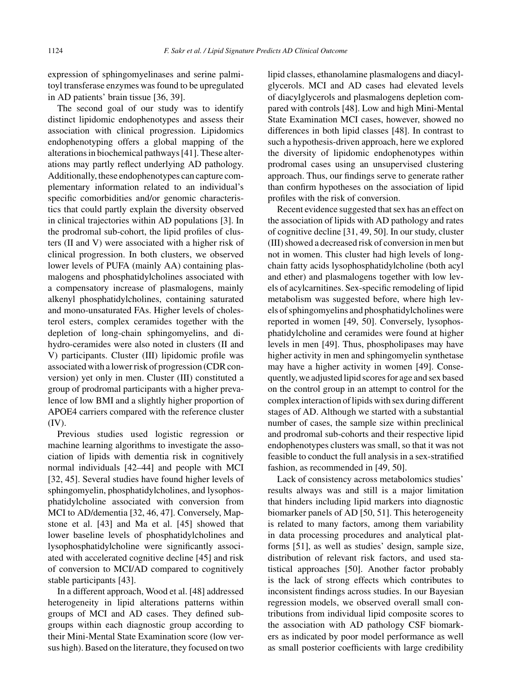expression of sphingomyelinases and serine palmitoyl transferase enzymes was found to be upregulated in AD patients' brain tissue [36, 39].

The second goal of our study was to identify distinct lipidomic endophenotypes and assess their association with clinical progression. Lipidomics endophenotyping offers a global mapping of the alterations in biochemical pathways [41]. These alterations may partly reflect underlying AD pathology. Additionally, these endophenotypes can capture complementary information related to an individual's specific comorbidities and/or genomic characteristics that could partly explain the diversity observed in clinical trajectories within AD populations [3]. In the prodromal sub-cohort, the lipid profiles of clusters (II and V) were associated with a higher risk of clinical progression. In both clusters, we observed lower levels of PUFA (mainly AA) containing plasmalogens and phosphatidylcholines associated with a compensatory increase of plasmalogens, mainly alkenyl phosphatidylcholines, containing saturated and mono-unsaturated FAs. Higher levels of cholesterol esters, complex ceramides together with the depletion of long-chain sphingomyelins, and dihydro-ceramides were also noted in clusters (II and V) participants. Cluster (III) lipidomic profile was associated with a lower risk of progression (CDR conversion) yet only in men. Cluster (III) constituted a group of prodromal participants with a higher prevalence of low BMI and a slightly higher proportion of APOE4 carriers compared with the reference cluster (IV).

Previous studies used logistic regression or machine learning algorithms to investigate the association of lipids with dementia risk in cognitively normal individuals [42–44] and people with MCI [32, 45]. Several studies have found higher levels of sphingomyelin, phosphatidylcholines, and lysophosphatidylcholine associated with conversion from MCI to AD/dementia [32, 46, 47]. Conversely, Mapstone et al. [43] and Ma et al. [45] showed that lower baseline levels of phosphatidylcholines and lysophosphatidylcholine were significantly associated with accelerated cognitive decline [45] and risk of conversion to MCI/AD compared to cognitively stable participants [43].

In a different approach, Wood et al. [48] addressed heterogeneity in lipid alterations patterns within groups of MCI and AD cases. They defined subgroups within each diagnostic group according to their Mini-Mental State Examination score (low versus high). Based on the literature, they focused on two

lipid classes, ethanolamine plasmalogens and diacylglycerols. MCI and AD cases had elevated levels of diacylglycerols and plasmalogens depletion compared with controls [48]. Low and high Mini-Mental State Examination MCI cases, however, showed no differences in both lipid classes [48]. In contrast to such a hypothesis-driven approach, here we explored the diversity of lipidomic endophenotypes within prodromal cases using an unsupervised clustering approach. Thus, our findings serve to generate rather than confirm hypotheses on the association of lipid profiles with the risk of conversion.

Recent evidence suggested that sex has an effect on the association of lipids with AD pathology and rates of cognitive decline [31, 49, 50]. In our study, cluster (III) showed a decreased risk of conversion in men but not in women. This cluster had high levels of longchain fatty acids lysophosphatidylcholine (both acyl and ether) and plasmalogens together with low levels of acylcarnitines. Sex-specific remodeling of lipid metabolism was suggested before, where high levels of sphingomyelins and phosphatidylcholines were reported in women [49, 50]. Conversely, lysophosphatidylcholine and ceramides were found at higher levels in men [49]. Thus, phospholipases may have higher activity in men and sphingomyelin synthetase may have a higher activity in women [49]. Consequently, we adjusted lipid scores for age and sex based on the control group in an attempt to control for the complex interaction of lipids with sex during different stages of AD. Although we started with a substantial number of cases, the sample size within preclinical and prodromal sub-cohorts and their respective lipid endophenotypes clusters was small, so that it was not feasible to conduct the full analysis in a sex-stratified fashion, as recommended in [49, 50].

Lack of consistency across metabolomics studies' results always was and still is a major limitation that hinders including lipid markers into diagnostic biomarker panels of AD [50, 51]. This heterogeneity is related to many factors, among them variability in data processing procedures and analytical platforms [51], as well as studies' design, sample size, distribution of relevant risk factors, and used statistical approaches [50]. Another factor probably is the lack of strong effects which contributes to inconsistent findings across studies. In our Bayesian regression models, we observed overall small contributions from individual lipid composite scores to the association with AD pathology CSF biomarkers as indicated by poor model performance as well as small posterior coefficients with large credibility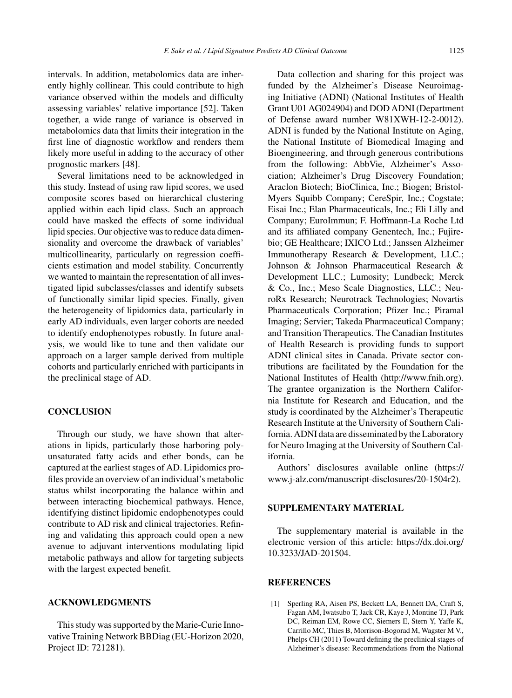intervals. In addition, metabolomics data are inherently highly collinear. This could contribute to high variance observed within the models and difficulty assessing variables' relative importance [52]. Taken together, a wide range of variance is observed in metabolomics data that limits their integration in the first line of diagnostic workflow and renders them likely more useful in adding to the accuracy of other prognostic markers [48].

Several limitations need to be acknowledged in this study. Instead of using raw lipid scores, we used composite scores based on hierarchical clustering applied within each lipid class. Such an approach could have masked the effects of some individual lipid species. Our objective was to reduce data dimensionality and overcome the drawback of variables' multicollinearity, particularly on regression coefficients estimation and model stability. Concurrently we wanted to maintain the representation of all investigated lipid subclasses/classes and identify subsets of functionally similar lipid species. Finally, given the heterogeneity of lipidomics data, particularly in early AD individuals, even larger cohorts are needed to identify endophenotypes robustly. In future analysis, we would like to tune and then validate our approach on a larger sample derived from multiple cohorts and particularly enriched with participants in the preclinical stage of AD.

## **CONCLUSION**

Through our study, we have shown that alterations in lipids, particularly those harboring polyunsaturated fatty acids and ether bonds, can be captured at the earliest stages of AD. Lipidomics profiles provide an overview of an individual's metabolic status whilst incorporating the balance within and between interacting biochemical pathways. Hence, identifying distinct lipidomic endophenotypes could contribute to AD risk and clinical trajectories. Refining and validating this approach could open a new avenue to adjuvant interventions modulating lipid metabolic pathways and allow for targeting subjects with the largest expected benefit.

# **ACKNOWLEDGMENTS**

This study was supported by the Marie-Curie Innovative Training Network BBDiag (EU-Horizon 2020, Project ID: 721281).

Data collection and sharing for this project was funded by the Alzheimer's Disease Neuroimaging Initiative (ADNI) (National Institutes of Health Grant U01 AG024904) and DOD ADNI (Department of Defense award number W81XWH-12-2-0012). ADNI is funded by the National Institute on Aging, the National Institute of Biomedical Imaging and Bioengineering, and through generous contributions from the following: AbbVie, Alzheimer's Association; Alzheimer's Drug Discovery Foundation; Araclon Biotech; BioClinica, Inc.; Biogen; Bristol-Myers Squibb Company; CereSpir, Inc.; Cogstate; Eisai Inc.; Elan Pharmaceuticals, Inc.; Eli Lilly and Company; EuroImmun; F. Hoffmann-La Roche Ltd and its affiliated company Genentech, Inc.; Fujirebio; GE Healthcare; IXICO Ltd.; Janssen Alzheimer Immunotherapy Research & Development, LLC.; Johnson & Johnson Pharmaceutical Research & Development LLC.; Lumosity; Lundbeck; Merck & Co., Inc.; Meso Scale Diagnostics, LLC.; NeuroRx Research; Neurotrack Technologies; Novartis Pharmaceuticals Corporation; Pfizer Inc.; Piramal Imaging; Servier; Takeda Pharmaceutical Company; and Transition Therapeutics. The Canadian Institutes of Health Research is providing funds to support ADNI clinical sites in Canada. Private sector contributions are facilitated by the Foundation for the National Institutes of Health [\(http://www.fnih.org](http://www.fnih.org)). The grantee organization is the Northern California Institute for Research and Education, and the study is coordinated by the Alzheimer's Therapeutic Research Institute at the University of Southern California. ADNI data are disseminated by the Laboratory for Neuro Imaging at the University of Southern California.

Authors' disclosures available online [\(https://](https://www.j-alz.com/manuscript-disclosures/20-1504r2) www.j-alz.com/manuscript-disclosures/20-1504r2).

## **SUPPLEMENTARY MATERIAL**

The supplementary material is available in the electronic version of this article: [https://dx.doi.org/](https://dx.doi.org/10.3233/JAD-201504) 10.3233/JAD-201504.

### **REFERENCES**

[1] Sperling RA, Aisen PS, Beckett LA, Bennett DA, Craft S, Fagan AM, Iwatsubo T, Jack CR, Kaye J, Montine TJ, Park DC, Reiman EM, Rowe CC, Siemers E, Stern Y, Yaffe K, Carrillo MC, Thies B, Morrison-Bogorad M, Wagster M V., Phelps CH (2011) Toward defining the preclinical stages of Alzheimer's disease: Recommendations from the National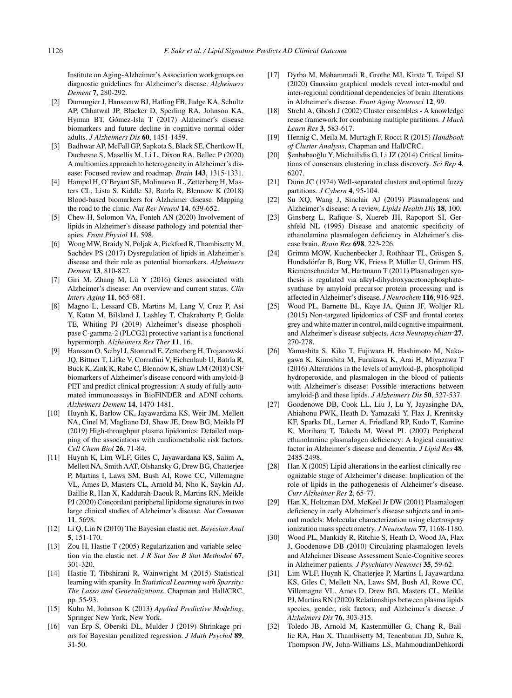Institute on Aging-Alzheimer's Association workgroups on diagnostic guidelines for Alzheimer's disease. *Alzheimers Dement* **7**, 280-292.

- [2] Dumurgier J, Hanseeuw BJ, Hatling FB, Judge KA, Schultz AP, Chhatwal JP, Blacker D, Sperling RA, Johnson KA, Hyman BT, Gómez-Isla T (2017) Alzheimer's disease biomarkers and future decline in cognitive normal older adults. *J Alzheimers Dis* **60**, 1451-1459.
- Badhwar AP, McFall GP, Sapkota S, Black SE, Chertkow H, Duchesne S, Masellis M, Li L, Dixon RA, Bellec P (2020) A multiomics approach to heterogeneity in Alzheimer's disease: Focused review and roadmap. *Brain* **143**, 1315-1331.
- [4] Hampel H, O'Bryant SE, Molinuevo JL, Zetterberg H, Masters CL, Lista S, Kiddle SJ, Batrla R, Blennow K (2018) Blood-based biomarkers for Alzheimer disease: Mapping the road to the clinic. *Nat Rev Neurol* **14**, 639-652.
- [5] Chew H, Solomon VA, Fonteh AN (2020) Involvement of lipids in Alzheimer's disease pathology and potential therapies. *Front Physiol* **11**, 598.
- [6] Wong MW, Braidy N, Poljak A, Pickford R, Thambisetty M, Sachdev PS (2017) Dysregulation of lipids in Alzheimer's disease and their role as potential biomarkers. *Alzheimers Dement* **13**, 810-827.
- [7] Giri M, Zhang M, Lü Y (2016) Genes associated with Alzheimer's disease: An overview and current status. *Clin Interv Aging* **11**, 665-681.
- [8] Magno L, Lessard CB, Martins M, Lang V, Cruz P, Asi Y, Katan M, Bilsland J, Lashley T, Chakrabarty P, Golde TE, Whiting PJ (2019) Alzheimer's disease phospholipase C-gamma-2 (PLCG2) protective variant is a functional hypermorph. *Alzheimers Res Ther* **11**, 16.
- [9] Hansson O, Seibyl J, Stomrud E, Zetterberg H, Trojanowski JQ, Bittner T, Lifke V, Corradini V, Eichenlaub U, Batrla R, Buck K, Zink K, Rabe C, Blennow K, Shaw LM (2018) CSF biomarkers of Alzheimer's disease concord with amyloid- $\beta$ PET and predict clinical progression: A study of fully automated immunoassays in BioFINDER and ADNI cohorts. *Alzheimers Dement* **14**, 1470-1481.
- [10] Huynh K, Barlow CK, Jayawardana KS, Weir JM, Mellett NA, Cinel M, Magliano DJ, Shaw JE, Drew BG, Meikle PJ (2019) High-throughput plasma lipidomics: Detailed mapping of the associations with cardiometabolic risk factors. *Cell Chem Biol* **26**, 71-84.
- [11] Huynh K, Lim WLF, Giles C, Jayawardana KS, Salim A, Mellett NA, Smith AAT, Olshansky G, Drew BG, Chatterjee P, Martins I, Laws SM, Bush AI, Rowe CC, Villemagne VL, Ames D, Masters CL, Arnold M, Nho K, Saykin AJ, Baillie R, Han X, Kaddurah-Daouk R, Martins RN, Meikle PJ (2020) Concordant peripheral lipidome signatures in two large clinical studies of Alzheimer's disease. *Nat Commun* **11**, 5698.
- [12] Li Q, Lin N (2010) The Bayesian elastic net. *Bayesian Anal* **5**, 151-170.
- [13] Zou H, Hastie T (2005) Regularization and variable selection via the elastic net. *J R Stat Soc B Stat Methodol* **67**, 301-320.
- [14] Hastie T, Tibshirani R, Wainwright M (2015) Statistical learning with sparsity. In *Statistical Learning with Sparsity: The Lasso and Generalizations*, Chapman and Hall/CRC, pp. 55-93.
- [15] Kuhn M, Johnson K (2013) *Applied Predictive Modeling*, Springer New York, New York.
- [16] van Erp S, Oberski DL, Mulder J (2019) Shrinkage priors for Bayesian penalized regression. *J Math Psychol* **89**, 31-50.
- [17] Dyrba M, Mohammadi R, Grothe MJ, Kirste T, Teipel SJ (2020) Gaussian graphical models reveal inter-modal and inter-regional conditional dependencies of brain alterations in Alzheimer's disease. *Front Aging Neurosci* **12**, 99.
- [18] Strehl A, Ghosh J (2002) Cluster ensembles A knowledge reuse framework for combining multiple partitions. *J Mach Learn Res* **3**, 583-617.
- [19] Hennig C, Meila M, Murtagh F, Rocci R (2015) *Handbook of Cluster Analysis*, Chapman and Hall/CRC.
- [20] Şenbabaoğlu Y, Michailidis G, Li JZ (2014) Critical limitations of consensus clustering in class discovery. *Sci Rep* **4**, 6207.
- [21] Dunn JC (1974) Well-separated clusters and optimal fuzzy partitions. *J Cybern* **4**, 95-104.
- [22] Su XQ, Wang J, Sinclair AJ (2019) Plasmalogens and Alzheimer's disease: A review. *Lipids Health Dis* **18**, 100.
- [23] Ginsberg L, Rafique S, Xuereb JH, Rapoport SI, Gershfeld NL (1995) Disease and anatomic specificity of ethanolamine plasmalogen deficiency in Alzheimer's disease brain. *Brain Res* **698**, 223-226.
- [24] Grimm MOW, Kuchenbecker J, Rothhaar TL, Grösgen S, Hundsdörfer B, Burg VK, Friess P, Müller U, Grimm HS, Riemenschneider M, Hartmann T (2011) Plasmalogen synthesis is regulated via alkyl-dihydroxyacetonephosphatesynthase by amyloid precursor protein processing and is affected in Alzheimer's disease. *J Neurochem* **116**, 916-925.
- [25] Wood PL, Barnette BL, Kaye JA, Quinn JF, Woltjer RL (2015) Non-targeted lipidomics of CSF and frontal cortex grey and white matter in control, mild cognitive impairment, and Alzheimer's disease subjects. *Acta Neuropsychiatr* **27**, 270-278.
- [26] Yamashita S, Kiko T, Fujiwara H, Hashimoto M, Nakagawa K, Kinoshita M, Furukawa K, Arai H, Miyazawa T  $(2016)$  Alterations in the levels of amyloid- $\beta$ , phospholipid hydroperoxide, and plasmalogen in the blood of patients with Alzheimer's disease: Possible interactions between amyloid-β and these lipids. *J Alzheimers Dis* 50, 527-537.
- [27] Goodenowe DB, Cook LL, Liu J, Lu Y, Jayasinghe DA, Ahiahonu PWK, Heath D, Yamazaki Y, Flax J, Krenitsky KF, Sparks DL, Lerner A, Friedland RP, Kudo T, Kamino K, Morihara T, Takeda M, Wood PL (2007) Peripheral ethanolamine plasmalogen deficiency: A logical causative factor in Alzheimer's disease and dementia. *J Lipid Res* **48**, 2485-2498.
- [28] Han X (2005) Lipid alterations in the earliest clinically recognizable stage of Alzheimer's disease: Implication of the role of lipids in the pathogenesis of Alzheimer's disease. *Curr Alzheimer Res* **2**, 65-77.
- [29] Han X, Holtzman DM, McKeel Jr DW (2001) Plasmalogen deficiency in early Alzheimer's disease subjects and in animal models: Molecular characterization using electrospray ionization mass spectrometry. *J Neurochem* **77**, 1168-1180.
- [30] Wood PL, Mankidy R, Ritchie S, Heath D, Wood JA, Flax J, Goodenowe DB (2010) Circulating plasmalogen levels and Alzheimer Disease Assessment Scale-Cognitive scores in Alzheimer patients. *J Psychiatry Neurosci* **35**, 59-62.
- [31] Lim WLF, Huynh K, Chatterjee P, Martins I, Jayawardana KS, Giles C, Mellett NA, Laws SM, Bush AI, Rowe CC, Villemagne VL, Ames D, Drew BG, Masters CL, Meikle PJ, Martins RN (2020) Relationships between plasma lipids species, gender, risk factors, and Alzheimer's disease. *J Alzheimers Dis* **76**, 303-315.
- [32] Toledo JB, Arnold M, Kastenmüller G, Chang R, Baillie RA, Han X, Thambisetty M, Tenenbaum JD, Suhre K, Thompson JW, John-Williams LS, MahmoudianDehkordi